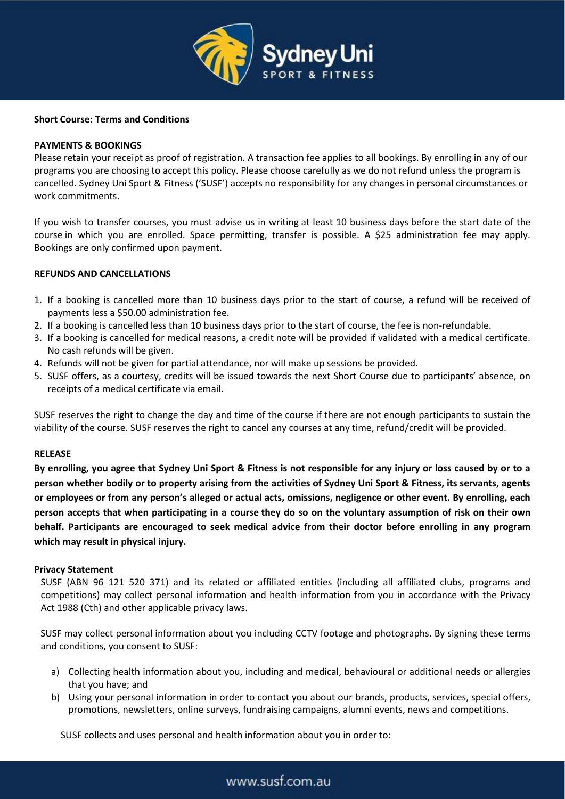

## **Short Course: Terms and Conditions**

## **PAYMENTS & BOOKINGS**

Please retain your receipt as proof of registration. A transaction fee applies to all bookings. By enrolling in any of our programs you are choosing to accept this policy. Please choose carefully as we do not refund unless the program is cancelled. Sydney Uni Sport & Fitness ('SUSF') accepts no responsibility for any changes in personal circumstances or work commitments.

If you wish to transfer courses, you must advise us in writing at least 10 business days before the start date of the course in which you are enrolled. Space permitting, transfer is possible. A \$25 administration fee may apply. Bookings are only confirmed upon payment.

### **REFUNDS AND CANCELLATIONS**

- 1. If a booking is cancelled more than 10 business days prior to the start of course, a refund will be received of payments less a \$50.00 administration fee.
- 2. If a booking is cancelled less than 10 business days prior to the start of course, the fee is non-refundable.
- 3. If a booking is cancelled for medical reasons, a credit note will be provided if validated with a medical certificate. No cash refunds will be given.
- 4. Refunds will not be given for partial attendance, nor will make up sessions be provided.
- 5. SUSF offers, as a courtesy, credits will be issued towards the next Short Course due to participants' absence, on receipts of a medical certificate via email.

SUSF reserves the right to change the day and time of the course if there are not enough participants to sustain the viability of the course. SUSF reserves the right to cancel any courses at any time, refund/credit will be provided.

#### **RELEASE**

**By enrolling, you agree that Sydney Uni Sport & Fitness is not responsible for any injury or loss caused by or to a person whether bodily or to property arising from the activities of Sydney Uni Sport & Fitness, its servants, agents or employees or from any person's alleged or actual acts, omissions, negligence or other event. By enrolling, each person accepts that when participating in a course they do so on the voluntary assumption of risk on their own behalf. Participants are encouraged to seek medical advice from their doctor before enrolling in any program which may result in physical injury.**

#### **Privacy Statement**

SUSF (ABN 96 121 520 371) and its related or affiliated entities (including all affiliated clubs, programs and competitions) may collect personal information and health information from you in accordance with the Privacy Act 1988 (Cth) and other applicable privacy laws.

SUSF may collect personal information about you including CCTV footage and photographs. By signing these terms and conditions, you consent to SUSF:

- a) Collecting health information about you, including and medical, behavioural or additional needs or allergies that you have; and
- b) Using your personal information in order to contact you about our brands, products, services, special offers, promotions, newsletters, online surveys, fundraising campaigns, alumni events, news and competitions.

SUSF collects and uses personal and health information about you in order to:

# www.susf.com.au